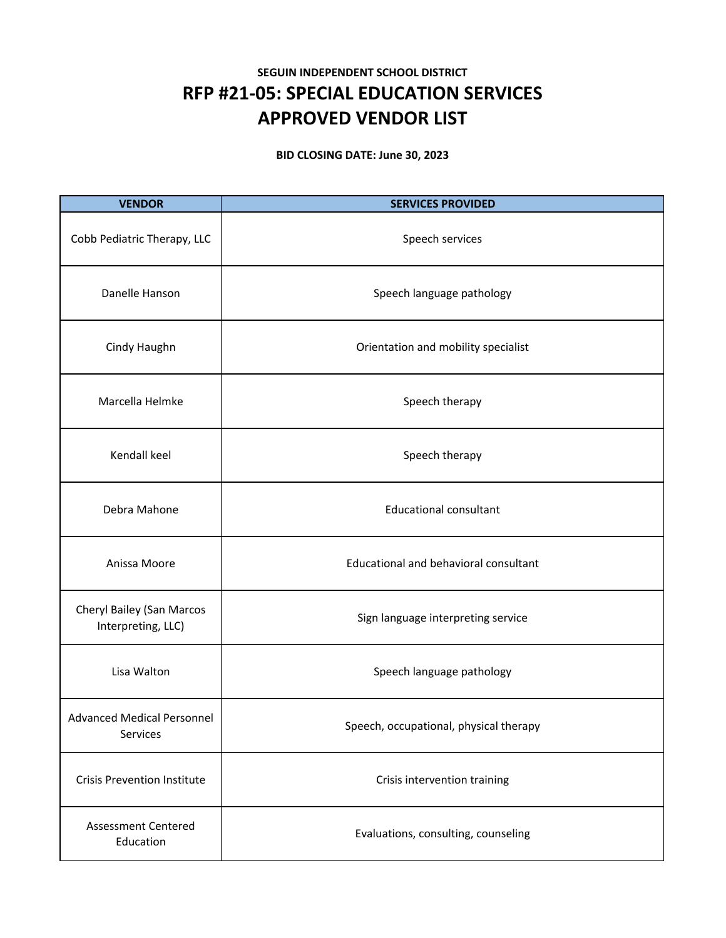## **SEGUIN INDEPENDENT SCHOOL DISTRICT RFP #21‐05: SPECIAL EDUCATION SERVICES APPROVED VENDOR LIST**

**BID CLOSING DATE: June 30, 2023**

| <b>VENDOR</b>                                   | <b>SERVICES PROVIDED</b>               |
|-------------------------------------------------|----------------------------------------|
| Cobb Pediatric Therapy, LLC                     | Speech services                        |
| Danelle Hanson                                  | Speech language pathology              |
| Cindy Haughn                                    | Orientation and mobility specialist    |
| Marcella Helmke                                 | Speech therapy                         |
| Kendall keel                                    | Speech therapy                         |
| Debra Mahone                                    | <b>Educational consultant</b>          |
| Anissa Moore                                    | Educational and behavioral consultant  |
| Cheryl Bailey (San Marcos<br>Interpreting, LLC) | Sign language interpreting service     |
| Lisa Walton                                     | Speech language pathology              |
| <b>Advanced Medical Personnel</b><br>Services   | Speech, occupational, physical therapy |
| <b>Crisis Prevention Institute</b>              | Crisis intervention training           |
| <b>Assessment Centered</b><br>Education         | Evaluations, consulting, counseling    |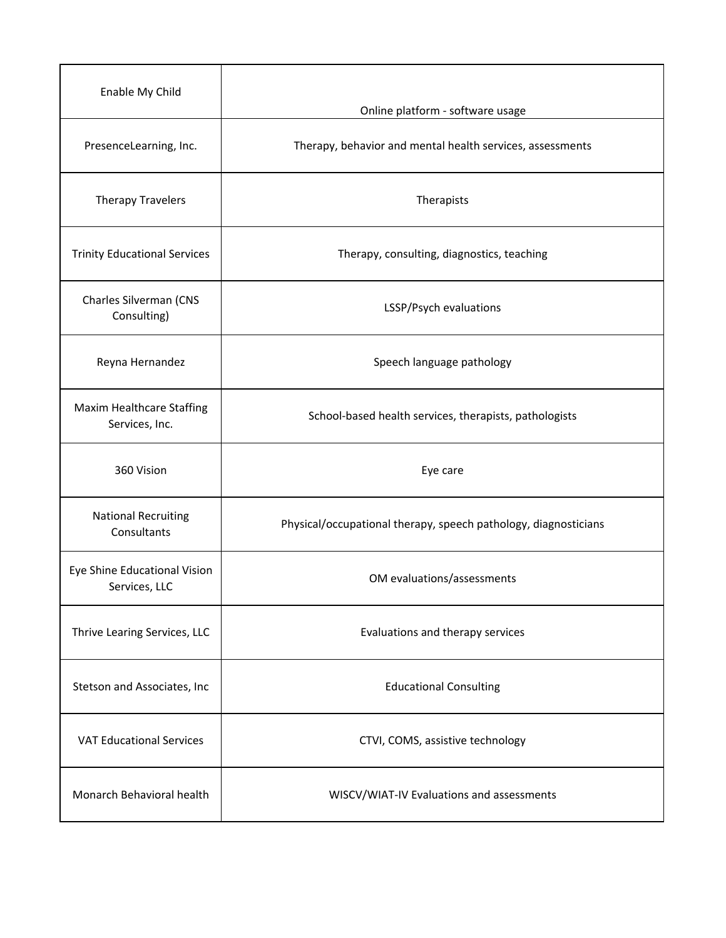| Enable My Child                               | Online platform - software usage                                |
|-----------------------------------------------|-----------------------------------------------------------------|
| PresenceLearning, Inc.                        | Therapy, behavior and mental health services, assessments       |
| <b>Therapy Travelers</b>                      | Therapists                                                      |
| <b>Trinity Educational Services</b>           | Therapy, consulting, diagnostics, teaching                      |
| Charles Silverman (CNS<br>Consulting)         | LSSP/Psych evaluations                                          |
| Reyna Hernandez                               | Speech language pathology                                       |
| Maxim Healthcare Staffing<br>Services, Inc.   | School-based health services, therapists, pathologists          |
| 360 Vision                                    | Eye care                                                        |
| <b>National Recruiting</b><br>Consultants     | Physical/occupational therapy, speech pathology, diagnosticians |
| Eye Shine Educational Vision<br>Services, LLC | OM evaluations/assessments                                      |
| Thrive Learing Services, LLC                  | Evaluations and therapy services                                |
| Stetson and Associates, Inc                   | <b>Educational Consulting</b>                                   |
| <b>VAT Educational Services</b>               | CTVI, COMS, assistive technology                                |
| Monarch Behavioral health                     | WISCV/WIAT-IV Evaluations and assessments                       |